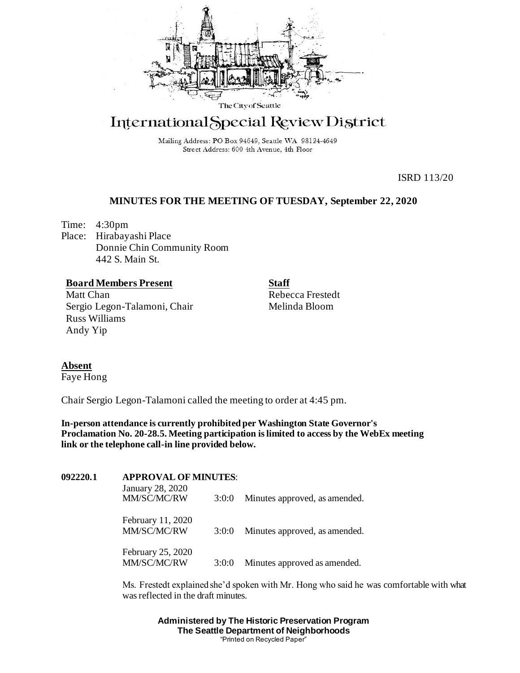

# International Special Review District

Mailing Address: PO Box 94649, Seattle WA 98124-4649 Street Address: 600 4th Avenue, 4th Floor

ISRD 113/20

### **MINUTES FOR THE MEETING OF TUESDAY, September 22, 2020**

Time: 4:30pm Place: Hirabayashi Place Donnie Chin Community Room 442 S. Main St.

## **Board Members Present**

Matt Chan Sergio Legon-Talamoni, Chair Russ Williams Andy Yip

**Staff** Rebecca Frestedt Melinda Bloom

**Absent**

Faye Hong

Chair Sergio Legon-Talamoni called the meeting to order at 4:45 pm.

**In-person attendance is currently prohibited per Washington State Governor's Proclamation No. 20-28.5. Meeting participation is limited to access by the WebEx meeting link or the telephone call-in line provided below.**

| 092220.1 | <b>APPROVAL OF MINUTES:</b>      |       |                               |
|----------|----------------------------------|-------|-------------------------------|
|          | January 28, 2020<br>MM/SC/MC/RW  | 3:0:0 | Minutes approved, as amended. |
|          | February 11, 2020<br>MM/SC/MC/RW | 3:0:0 | Minutes approved, as amended. |
|          | February 25, 2020<br>MM/SC/MC/RW | 3:0:0 | Minutes approved as amended.  |

Ms. Frestedt explained she'd spoken with Mr. Hong who said he was comfortable with what was reflected in the draft minutes.

> **Administered by The Historic Preservation Program The Seattle Department of Neighborhoods** "Printed on Recycled Paper"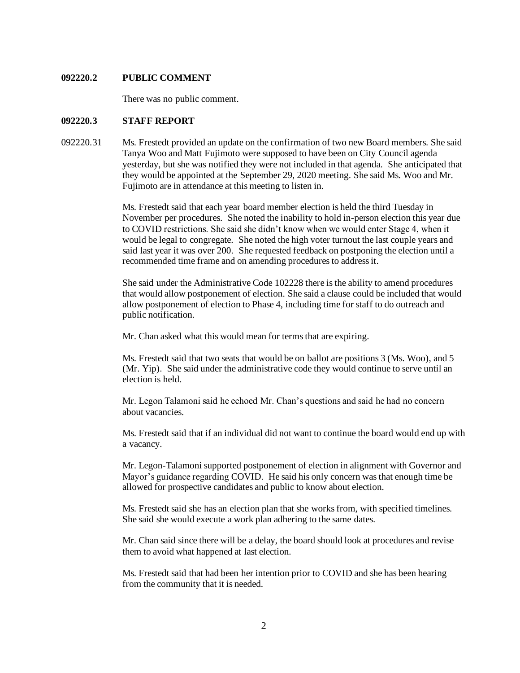#### **092220.2 PUBLIC COMMENT**

There was no public comment.

#### **092220.3 STAFF REPORT**

092220.31 Ms. Frestedt provided an update on the confirmation of two new Board members. She said Tanya Woo and Matt Fujimoto were supposed to have been on City Council agenda yesterday, but she was notified they were not included in that agenda. She anticipated that they would be appointed at the September 29, 2020 meeting. She said Ms. Woo and Mr. Fujimoto are in attendance at this meeting to listen in.

> Ms. Frestedt said that each year board member election is held the third Tuesday in November per procedures. She noted the inability to hold in-person election this year due to COVID restrictions. She said she didn't know when we would enter Stage 4, when it would be legal to congregate. She noted the high voter turnout the last couple years and said last year it was over 200. She requested feedback on postponing the election until a recommended time frame and on amending procedures to address it.

> She said under the Administrative Code 102228 there is the ability to amend procedures that would allow postponement of election. She said a clause could be included that would allow postponement of election to Phase 4, including time for staff to do outreach and public notification.

Mr. Chan asked what this would mean for terms that are expiring.

Ms. Frestedt said that two seats that would be on ballot are positions 3 (Ms. Woo), and 5 (Mr. Yip). She said under the administrative code they would continue to serve until an election is held.

Mr. Legon Talamoni said he echoed Mr. Chan's questions and said he had no concern about vacancies.

Ms. Frestedt said that if an individual did not want to continue the board would end up with a vacancy.

Mr. Legon-Talamoni supported postponement of election in alignment with Governor and Mayor's guidance regarding COVID. He said his only concern was that enough time be allowed for prospective candidates and public to know about election.

Ms. Frestedt said she has an election plan that she works from, with specified timelines. She said she would execute a work plan adhering to the same dates.

Mr. Chan said since there will be a delay, the board should look at procedures and revise them to avoid what happened at last election.

Ms. Frestedt said that had been her intention prior to COVID and she has been hearing from the community that it is needed.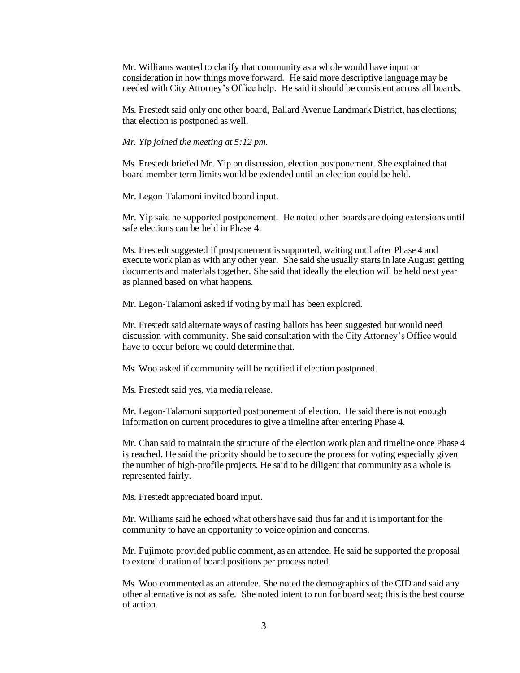Mr. Williams wanted to clarify that community as a whole would have input or consideration in how things move forward. He said more descriptive language may be needed with City Attorney's Office help. He said it should be consistent across all boards.

Ms. Frestedt said only one other board, Ballard Avenue Landmark District, has elections; that election is postponed as well.

*Mr. Yip joined the meeting at 5:12 pm.*

Ms. Frestedt briefed Mr. Yip on discussion, election postponement. She explained that board member term limits would be extended until an election could be held.

Mr. Legon-Talamoni invited board input.

Mr. Yip said he supported postponement. He noted other boards are doing extensions until safe elections can be held in Phase 4.

Ms. Frestedt suggested if postponement is supported, waiting until after Phase 4 and execute work plan as with any other year. She said she usually starts in late August getting documents and materials together. She said that ideally the election will be held next year as planned based on what happens.

Mr. Legon-Talamoni asked if voting by mail has been explored.

Mr. Frestedt said alternate ways of casting ballots has been suggested but would need discussion with community. She said consultation with the City Attorney's Office would have to occur before we could determine that.

Ms. Woo asked if community will be notified if election postponed.

Ms. Frestedt said yes, via media release.

Mr. Legon-Talamoni supported postponement of election. He said there is not enough information on current procedures to give a timeline after entering Phase 4.

Mr. Chan said to maintain the structure of the election work plan and timeline once Phase 4 is reached. He said the priority should be to secure the process for voting especially given the number of high-profile projects. He said to be diligent that community as a whole is represented fairly.

Ms. Frestedt appreciated board input.

Mr. Williams said he echoed what others have said thus far and it is important for the community to have an opportunity to voice opinion and concerns.

Mr. Fujimoto provided public comment, as an attendee. He said he supported the proposal to extend duration of board positions per process noted.

Ms. Woo commented as an attendee. She noted the demographics of the CID and said any other alternative is not as safe. She noted intent to run for board seat; this is the best course of action.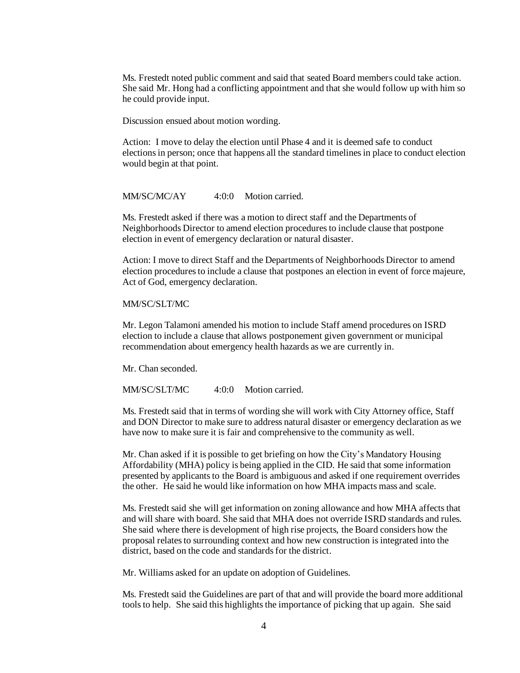Ms. Frestedt noted public comment and said that seated Board members could take action. She said Mr. Hong had a conflicting appointment and that she would follow up with him so he could provide input.

Discussion ensued about motion wording.

Action: I move to delay the election until Phase 4 and it is deemed safe to conduct electionsin person; once that happens all the standard timelines in place to conduct election would begin at that point.

#### MM/SC/MC/AY 4:0:0 Motion carried.

Ms. Frestedt asked if there was a motion to direct staff and the Departments of Neighborhoods Director to amend election procedures to include clause that postpone election in event of emergency declaration or natural disaster.

Action: I move to direct Staff and the Departments of Neighborhoods Director to amend election procedures to include a clause that postpones an election in event of force majeure, Act of God, emergency declaration.

#### MM/SC/SLT/MC

Mr. Legon Talamoni amended his motion to include Staff amend procedures on ISRD election to include a clause that allows postponement given government or municipal recommendation about emergency health hazards as we are currently in.

Mr. Chan seconded.

MM/SC/SLT/MC 4:0:0 Motion carried.

Ms. Frestedt said that in terms of wording she will work with City Attorney office, Staff and DON Director to make sure to address natural disaster or emergency declaration as we have now to make sure it is fair and comprehensive to the community as well.

Mr. Chan asked if it is possible to get briefing on how the City's Mandatory Housing Affordability (MHA) policy is being applied in the CID. He said that some information presented by applicants to the Board is ambiguous and asked if one requirement overrides the other. He said he would like information on how MHA impacts mass and scale.

Ms. Frestedt said she will get information on zoning allowance and how MHA affects that and will share with board. She said that MHA does not override ISRD standards and rules. She said where there is development of high rise projects, the Board considers how the proposal relatesto surrounding context and how new construction isintegrated into the district, based on the code and standards for the district.

Mr. Williams asked for an update on adoption of Guidelines.

Ms. Frestedt said the Guidelines are part of that and will provide the board more additional tools to help. She said this highlights the importance of picking that up again. She said